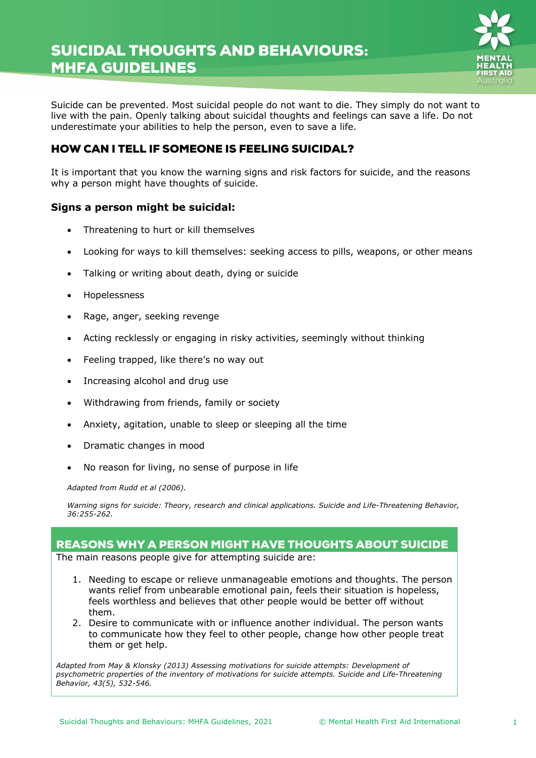

Suicide can be prevented. Most suicidal people do not want to die. They simply do not want to live with the pain. Openly talking about suicidal thoughts and feelings can save a life. Do not underestimate your abilities to help the person, even to save a life.

### HOW CAN I TELL IF SOMEONE IS FEELING SUICIDAL?

It is important that you know the warning signs and risk factors for suicide, and the reasons why a person might have thoughts of suicide.

#### **Signs a person might be suicidal:**

- Threatening to hurt or kill themselves
- Looking for ways to kill themselves: seeking access to pills, weapons, or other means
- Talking or writing about death, dying or suicide
- Hopelessness
- Rage, anger, seeking revenge
- Acting recklessly or engaging in risky activities, seemingly without thinking
- Feeling trapped, like there's no way out
- Increasing alcohol and drug use
- Withdrawing from friends, family or society
- Anxiety, agitation, unable to sleep or sleeping all the time
- Dramatic changes in mood
- No reason for living, no sense of purpose in life

*Adapted from Rudd et al (2006).*

*Warning signs for suicide: Theory, research and clinical applications. Suicide and Life-Threatening Behavior, 36:255-262.*

#### REASONS WHY A PERSON MIGHT HAVE THOUGHTS ABOUT SUICIDE

The main reasons people give for attempting suicide are:

- 1. Needing to escape or relieve unmanageable emotions and thoughts. The person wants relief from unbearable emotional pain, feels their situation is hopeless, feels worthless and believes that other people would be better off without them.
- 2. Desire to communicate with or influence another individual. The person wants to communicate how they feel to other people, change how other people treat them or get help.

*Adapted from May & Klonsky (2013) Assessing motivations for suicide attempts: Development of psychometric properties of the inventory of motivations for suicide attempts. Suicide and Life-Threatening Behavior, 43(5), 532-546.*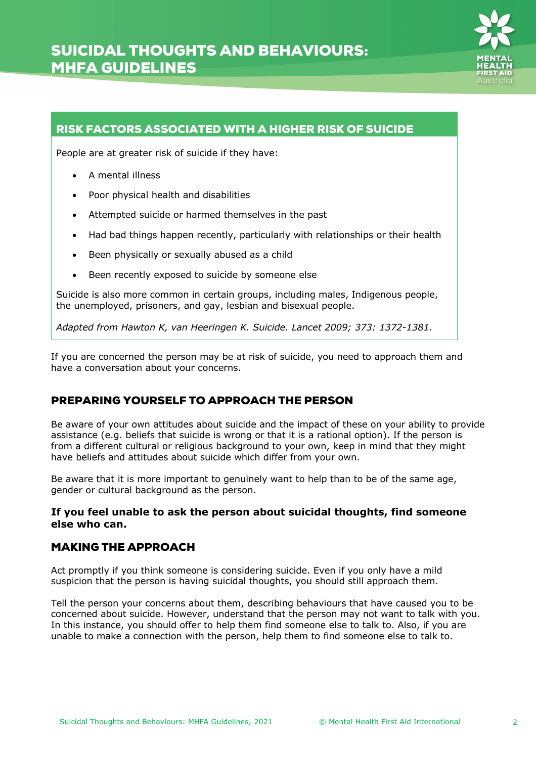

## RISK FACTORS ASSOCIATED WITH A HIGHER RISK OF SUICIDE

People are at greater risk of suicide if they have:

- A mental illness
- Poor physical health and disabilities
- Attempted suicide or harmed themselves in the past
- Had bad things happen recently, particularly with relationships or their health
- Been physically or sexually abused as a child
- Been recently exposed to suicide by someone else

Suicide is also more common in certain groups, including males, Indigenous people, the unemployed, prisoners, and gay, lesbian and bisexual people.

*Adapted from Hawton K, van Heeringen K. Suicide. Lancet 2009; 373: 1372-1381.*

If you are concerned the person may be at risk of suicide, you need to approach them and have a conversation about your concerns.

## PREPARING YOURSELF TO APPROACH THE PERSON

Be aware of your own attitudes about suicide and the impact of these on your ability to provide assistance (e.g. beliefs that suicide is wrong or that it is a rational option). If the person is from a different cultural or religious background to your own, keep in mind that they might have beliefs and attitudes about suicide which differ from your own.

Be aware that it is more important to genuinely want to help than to be of the same age, gender or cultural background as the person.

#### **If you feel unable to ask the person about suicidal thoughts, find someone else who can.**

#### MAKING THE APPROACH

Act promptly if you think someone is considering suicide. Even if you only have a mild suspicion that the person is having suicidal thoughts, you should still approach them.

Tell the person your concerns about them, describing behaviours that have caused you to be concerned about suicide. However, understand that the person may not want to talk with you. In this instance, you should offer to help them find someone else to talk to. Also, if you are unable to make a connection with the person, help them to find someone else to talk to.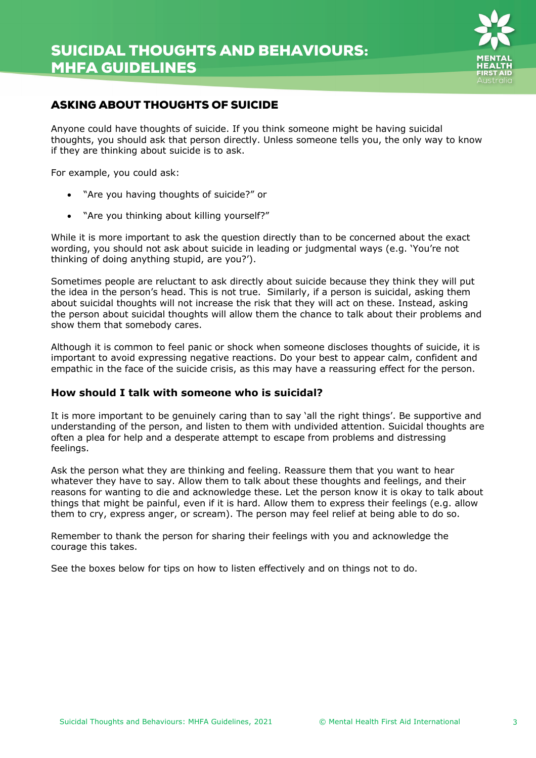

## ASKING ABOUT THOUGHTS OF SUICIDE

Anyone could have thoughts of suicide. If you think someone might be having suicidal thoughts, you should ask that person directly. Unless someone tells you, the only way to know if they are thinking about suicide is to ask.

For example, you could ask:

- "Are you having thoughts of suicide?" or
- "Are you thinking about killing yourself?"

While it is more important to ask the question directly than to be concerned about the exact wording, you should not ask about suicide in leading or judgmental ways (e.g. 'You're not thinking of doing anything stupid, are you?').

Sometimes people are reluctant to ask directly about suicide because they think they will put the idea in the person's head. This is not true. Similarly, if a person is suicidal, asking them about suicidal thoughts will not increase the risk that they will act on these. Instead, asking the person about suicidal thoughts will allow them the chance to talk about their problems and show them that somebody cares.

Although it is common to feel panic or shock when someone discloses thoughts of suicide, it is important to avoid expressing negative reactions. Do your best to appear calm, confident and empathic in the face of the suicide crisis, as this may have a reassuring effect for the person.

#### **How should I talk with someone who is suicidal?**

It is more important to be genuinely caring than to say 'all the right things'. Be supportive and understanding of the person, and listen to them with undivided attention. Suicidal thoughts are often a plea for help and a desperate attempt to escape from problems and distressing feelings.

Ask the person what they are thinking and feeling. Reassure them that you want to hear whatever they have to say. Allow them to talk about these thoughts and feelings, and their reasons for wanting to die and acknowledge these. Let the person know it is okay to talk about things that might be painful, even if it is hard. Allow them to express their feelings (e.g. allow them to cry, express anger, or scream). The person may feel relief at being able to do so.

Remember to thank the person for sharing their feelings with you and acknowledge the courage this takes.

See the boxes below for tips on how to listen effectively and on things not to do.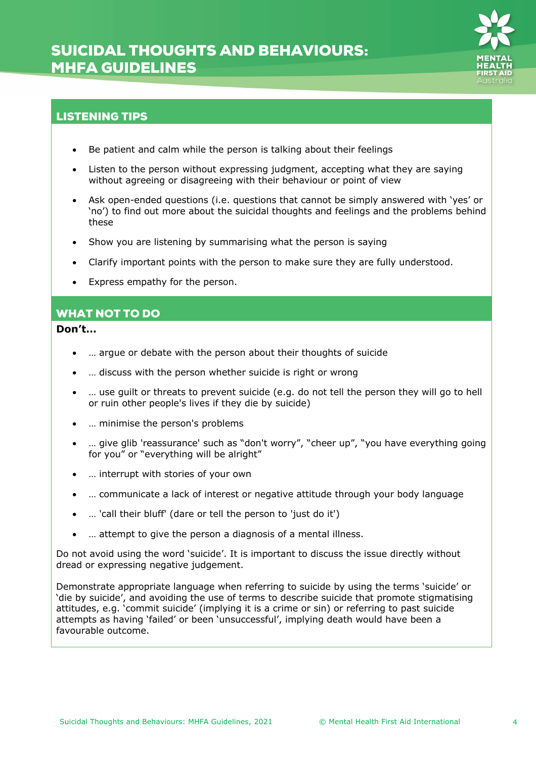

## LISTENING TIPS

- Be patient and calm while the person is talking about their feelings
- Listen to the person without expressing judgment, accepting what they are saying without agreeing or disagreeing with their behaviour or point of view
- Ask open-ended questions (i.e. questions that cannot be simply answered with 'yes' or 'no') to find out more about the suicidal thoughts and feelings and the problems behind these
- Show you are listening by summarising what the person is saying
- Clarify important points with the person to make sure they are fully understood.
- Express empathy for the person.

#### WHAT NOT TO DO

**Don't…**

- … argue or debate with the person about their thoughts of suicide
- … discuss with the person whether suicide is right or wrong
- … use guilt or threats to prevent suicide (e.g. do not tell the person they will go to hell or ruin other people's lives if they die by suicide)
- ... minimise the person's problems
- ... give glib 'reassurance' such as "don't worry", "cheer up", "you have everything going for you" or "everything will be alright"
- … interrupt with stories of your own
- … communicate a lack of interest or negative attitude through your body language
- … 'call their bluff' (dare or tell the person to 'just do it')
- … attempt to give the person a diagnosis of a mental illness.

Do not avoid using the word 'suicide'. It is important to discuss the issue directly without dread or expressing negative judgement.

Demonstrate appropriate language when referring to suicide by using the terms 'suicide' or 'die by suicide', and avoiding the use of terms to describe suicide that promote stigmatising attitudes, e.g. 'commit suicide' (implying it is a crime or sin) or referring to past suicide attempts as having 'failed' or been 'unsuccessful', implying death would have been a favourable outcome.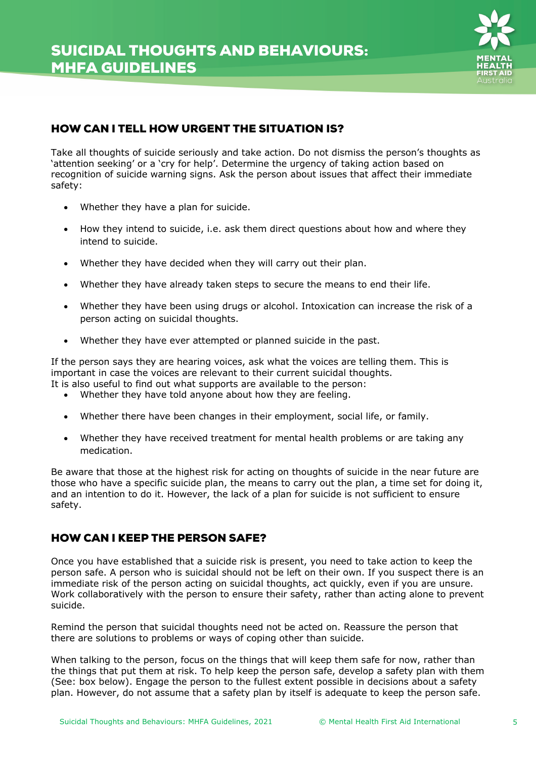

## HOW CAN I TELL HOW URGENT THE SITUATION IS?

Take all thoughts of suicide seriously and take action. Do not dismiss the person's thoughts as 'attention seeking' or a 'cry for help'. Determine the urgency of taking action based on recognition of suicide warning signs. Ask the person about issues that affect their immediate safety:

- Whether they have a plan for suicide.
- How they intend to suicide, i.e. ask them direct questions about how and where they intend to suicide.
- Whether they have decided when they will carry out their plan.
- Whether they have already taken steps to secure the means to end their life.
- Whether they have been using drugs or alcohol. Intoxication can increase the risk of a person acting on suicidal thoughts.
- Whether they have ever attempted or planned suicide in the past.

If the person says they are hearing voices, ask what the voices are telling them. This is important in case the voices are relevant to their current suicidal thoughts.

It is also useful to find out what supports are available to the person:

- Whether they have told anyone about how they are feeling.
- Whether there have been changes in their employment, social life, or family.
- Whether they have received treatment for mental health problems or are taking any medication.

Be aware that those at the highest risk for acting on thoughts of suicide in the near future are those who have a specific suicide plan, the means to carry out the plan, a time set for doing it, and an intention to do it. However, the lack of a plan for suicide is not sufficient to ensure safety.

#### HOW CAN I KEEP THE PERSON SAFE?

Once you have established that a suicide risk is present, you need to take action to keep the person safe. A person who is suicidal should not be left on their own. If you suspect there is an immediate risk of the person acting on suicidal thoughts, act quickly, even if you are unsure. Work collaboratively with the person to ensure their safety, rather than acting alone to prevent suicide.

Remind the person that suicidal thoughts need not be acted on. Reassure the person that there are solutions to problems or ways of coping other than suicide.

When talking to the person, focus on the things that will keep them safe for now, rather than the things that put them at risk. To help keep the person safe, develop a safety plan with them (See: box below). Engage the person to the fullest extent possible in decisions about a safety plan. However, do not assume that a safety plan by itself is adequate to keep the person safe.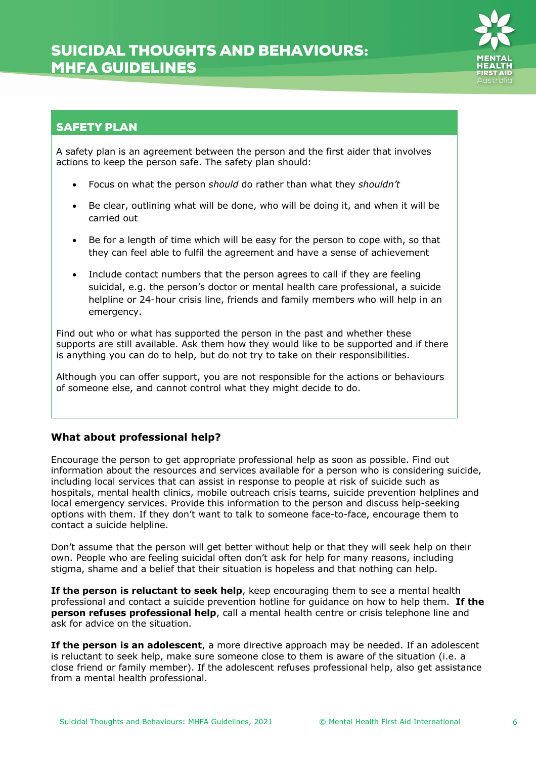

## SAFETY PLAN

A safety plan is an agreement between the person and the first aider that involves actions to keep the person safe. The safety plan should:

- Focus on what the person *should* do rather than what they *shouldn't*
- Be clear, outlining what will be done, who will be doing it, and when it will be carried out
- Be for a length of time which will be easy for the person to cope with, so that they can feel able to fulfil the agreement and have a sense of achievement
- Include contact numbers that the person agrees to call if they are feeling suicidal, e.g. the person's doctor or mental health care professional, a suicide helpline or 24-hour crisis line, friends and family members who will help in an emergency.

Find out who or what has supported the person in the past and whether these supports are still available. Ask them how they would like to be supported and if there is anything you can do to help, but do not try to take on their responsibilities.

Although you can offer support, you are not responsible for the actions or behaviours of someone else, and cannot control what they might decide to do.

### **What about professional help?**

Encourage the person to get appropriate professional help as soon as possible. Find out information about the resources and services available for a person who is considering suicide, including local services that can assist in response to people at risk of suicide such as hospitals, mental health clinics, mobile outreach crisis teams, suicide prevention helplines and local emergency services. Provide this information to the person and discuss help-seeking options with them. If they don't want to talk to someone face-to-face, encourage them to contact a suicide helpline.

Don't assume that the person will get better without help or that they will seek help on their own. People who are feeling suicidal often don't ask for help for many reasons, including stigma, shame and a belief that their situation is hopeless and that nothing can help.

**If the person is reluctant to seek help**, keep encouraging them to see a mental health professional and contact a suicide prevention hotline for guidance on how to help them. **If the person refuses professional help**, call a mental health centre or crisis telephone line and ask for advice on the situation.

**If the person is an adolescent**, a more directive approach may be needed. If an adolescent is reluctant to seek help, make sure someone close to them is aware of the situation (i.e. a close friend or family member). If the adolescent refuses professional help, also get assistance from a mental health professional.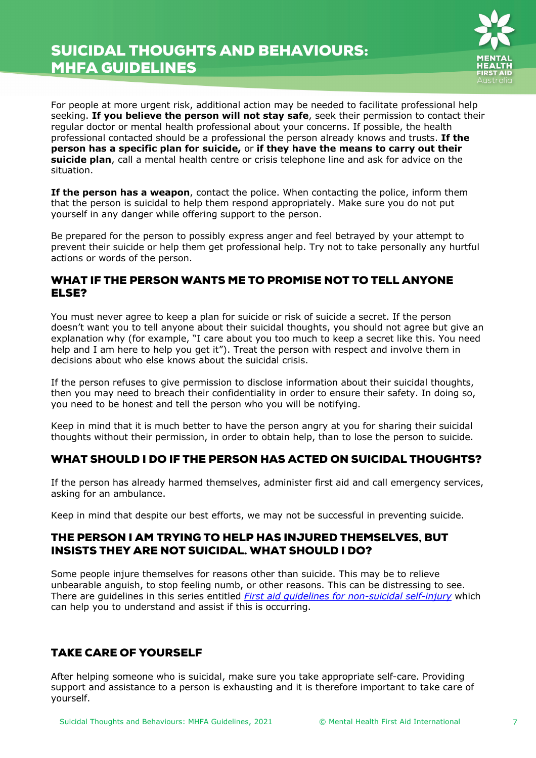

For people at more urgent risk, additional action may be needed to facilitate professional help seeking. **If you believe the person will not stay safe**, seek their permission to contact their regular doctor or mental health professional about your concerns. If possible, the health professional contacted should be a professional the person already knows and trusts. **If the person has a specific plan for suicide,** or **if they have the means to carry out their suicide plan**, call a mental health centre or crisis telephone line and ask for advice on the situation.

**If the person has a weapon**, contact the police. When contacting the police, inform them that the person is suicidal to help them respond appropriately. Make sure you do not put yourself in any danger while offering support to the person.

Be prepared for the person to possibly express anger and feel betrayed by your attempt to prevent their suicide or help them get professional help. Try not to take personally any hurtful actions or words of the person.

#### WHAT IF THE PERSON WANTS ME TO PROMISE NOT TO TELL ANYONE ELSE?

You must never agree to keep a plan for suicide or risk of suicide a secret. If the person doesn't want you to tell anyone about their suicidal thoughts, you should not agree but give an explanation why (for example, "I care about you too much to keep a secret like this. You need help and I am here to help you get it"). Treat the person with respect and involve them in decisions about who else knows about the suicidal crisis.

If the person refuses to give permission to disclose information about their suicidal thoughts, then you may need to breach their confidentiality in order to ensure their safety. In doing so, you need to be honest and tell the person who you will be notifying.

Keep in mind that it is much better to have the person angry at you for sharing their suicidal thoughts without their permission, in order to obtain help, than to lose the person to suicide.

#### WHAT SHOULD I DO IF THE PERSON HAS ACTED ON SUICIDAL THOUGHTS?

If the person has already harmed themselves, administer first aid and call emergency services, asking for an ambulance.

Keep in mind that despite our best efforts, we may not be successful in preventing suicide.

#### THE PERSON I AM TRYING TO HELP HAS INJURED THEMSELVES, BUT INSISTS THEY ARE NOT SUICIDAL. WHAT SHOULD I DO?

Some people injure themselves for reasons other than suicide. This may be to relieve unbearable anguish, to stop feeling numb, or other reasons. This can be distressing to see. There are guidelines in this series entitled *First aid [guidelines for non-suicidal self-injury](https://mhfa.com.au/mental-health-first-aid-guidelines)* which can help you to understand and assist if this is occurring.

### TAKE CARE OF YOURSELF

After helping someone who is suicidal, make sure you take appropriate self-care. Providing support and assistance to a person is exhausting and it is therefore important to take care of yourself.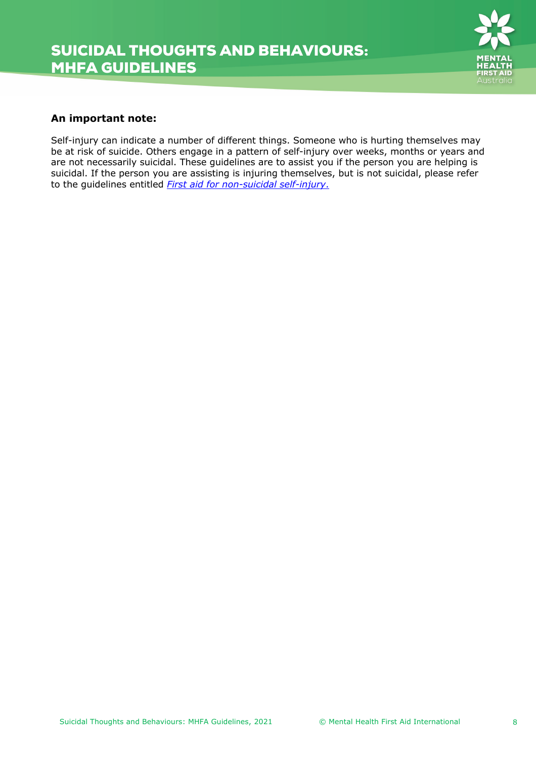

#### **An important note:**

Self-injury can indicate a number of different things. Someone who is hurting themselves may be at risk of suicide. Others engage in a pattern of self-injury over weeks, months or years and are not necessarily suicidal. These guidelines are to assist you if the person you are helping is suicidal. If the person you are assisting is injuring themselves, but is not suicidal, please refer to the guidelines entitled *[First aid for non-suicidal self-injury](https://mhfa.com.au/mental-health-first-aid-guidelines)*.